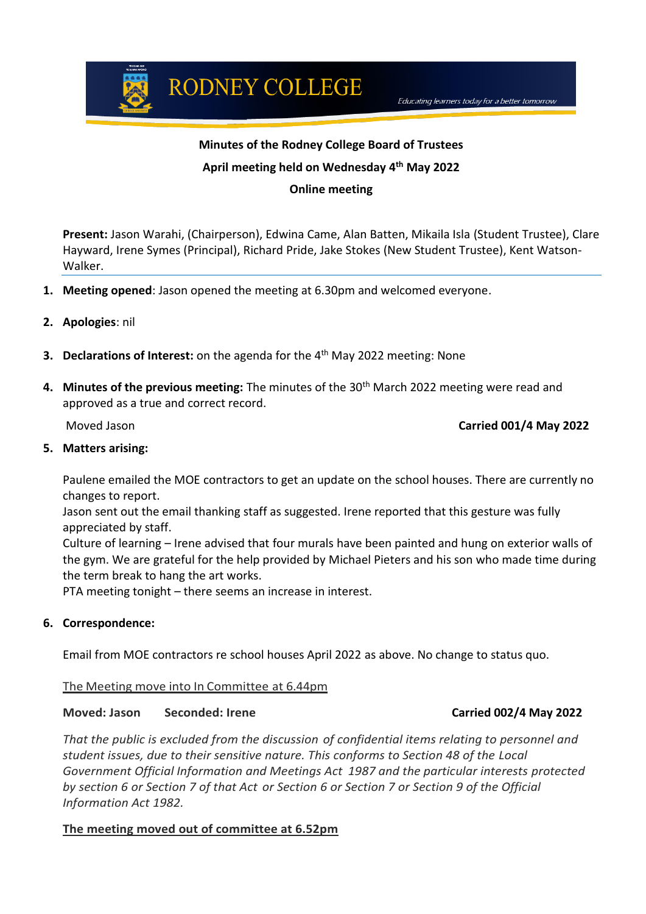#### **Minutes of the Rodney College Board of Trustees**

## **April meeting held on Wednesday 4 th May 2022**

#### **Online meeting**

**Present:** Jason Warahi, (Chairperson), Edwina Came, Alan Batten, Mikaila Isla (Student Trustee), Clare Hayward, Irene Symes (Principal), Richard Pride, Jake Stokes (New Student Trustee), Kent Watson-Walker.

- **1. Meeting opened**: Jason opened the meeting at 6.30pm and welcomed everyone.
- **2. Apologies**: nil
- **3. Declarations of Interest:** on the agenda for the 4<sup>th</sup> May 2022 meeting: None
- **4. Minutes of the previous meeting:** The minutes of the 30th March 2022 meeting were read and approved as a true and correct record.

#### Moved Jason **Carried 001/4 May 2022**

Educating learners today for a better tomorrow

#### **5. Matters arising:**

Paulene emailed the MOE contractors to get an update on the school houses. There are currently no changes to report.

Jason sent out the email thanking staff as suggested. Irene reported that this gesture was fully appreciated by staff.

Culture of learning – Irene advised that four murals have been painted and hung on exterior walls of the gym. We are grateful for the help provided by Michael Pieters and his son who made time during the term break to hang the art works.

PTA meeting tonight – there seems an increase in interest.

#### **6. Correspondence:**

Email from MOE contractors re school houses April 2022 as above. No change to status quo.

#### The Meeting move into In Committee at 6.44pm

#### **Moved: Jason Seconded: Irene Carried 002/4 May 2022**

*That the public is excluded from the discussion of confidential items relating to personnel and student issues, due to their sensitive nature. This conforms to Section 48 of the Local Government Official Information and Meetings Act 1987 and the particular interests protected by section 6 or Section 7 of that Act or Section 6 or Section 7 or Section 9 of the Official Information Act 1982.*

#### **The meeting moved out of committee at 6.52pm**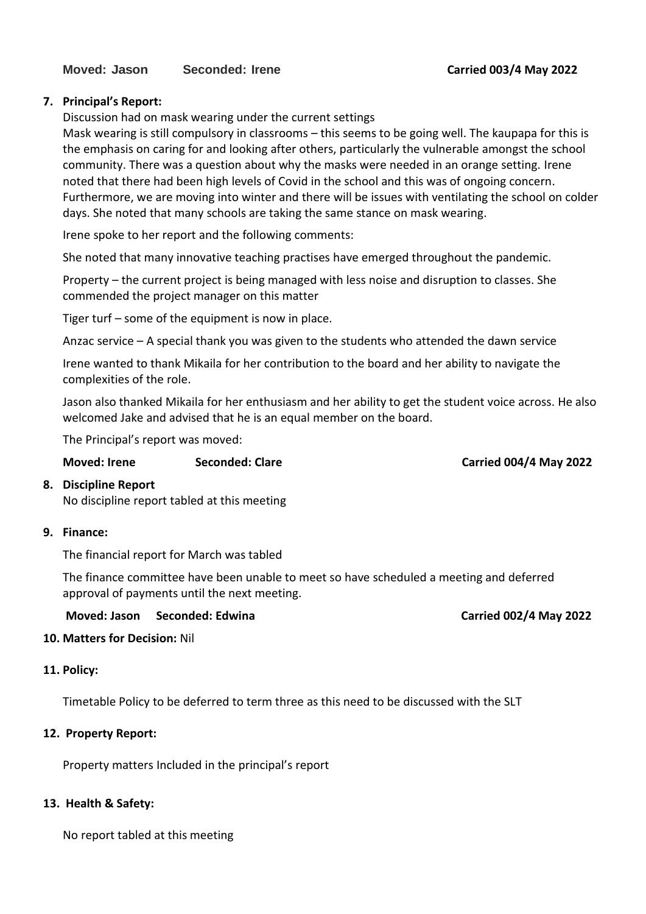## **7. Principal's Report:**

Discussion had on mask wearing under the current settings

Mask wearing is still compulsory in classrooms – this seems to be going well. The kaupapa for this is the emphasis on caring for and looking after others, particularly the vulnerable amongst the school community. There was a question about why the masks were needed in an orange setting. Irene noted that there had been high levels of Covid in the school and this was of ongoing concern. Furthermore, we are moving into winter and there will be issues with ventilating the school on colder days. She noted that many schools are taking the same stance on mask wearing.

Irene spoke to her report and the following comments:

She noted that many innovative teaching practises have emerged throughout the pandemic.

Property – the current project is being managed with less noise and disruption to classes. She commended the project manager on this matter

Tiger turf – some of the equipment is now in place.

Anzac service – A special thank you was given to the students who attended the dawn service

Irene wanted to thank Mikaila for her contribution to the board and her ability to navigate the complexities of the role.

Jason also thanked Mikaila for her enthusiasm and her ability to get the student voice across. He also welcomed Jake and advised that he is an equal member on the board.

The Principal's report was moved:

| <b>Moved: Irene</b> | <b>Seconded: Clare</b> |
|---------------------|------------------------|
|                     |                        |

**Moved: Irene Seconded: Clare Carried 004/4 May 2022**

## **8. Discipline Report**

No discipline report tabled at this meeting

## **9. Finance:**

The financial report for March was tabled

The finance committee have been unable to meet so have scheduled a meeting and deferred approval of payments until the next meeting.

**Moved: Jason Seconded: Edwina Carried 002/4 May 2022** 

## **10. Matters for Decision:** Nil

## **11. Policy:**

Timetable Policy to be deferred to term three as this need to be discussed with the SLT

## **12. Property Report:**

Property matters Included in the principal's report

# **13. Health & Safety:**

No report tabled at this meeting